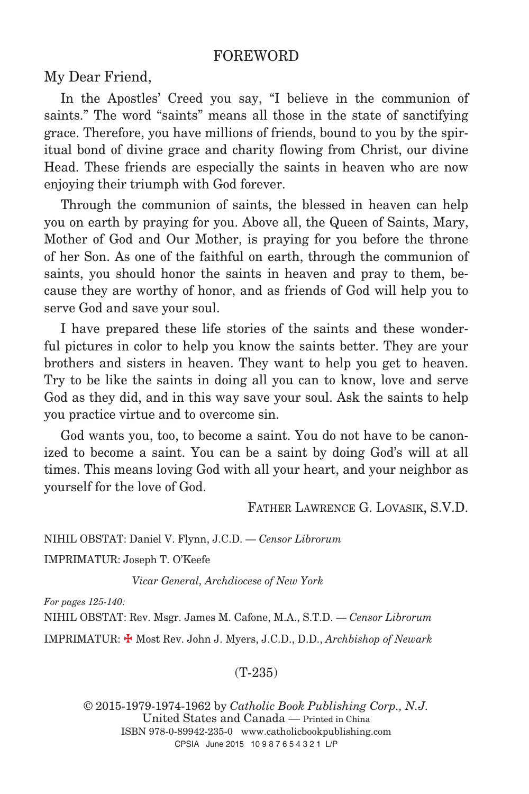#### FOREWORD

My Dear Friend,

In the Apostles' Creed you say, "I believe in the communion of saints." The word "saints" means all those in the state of sanctifying saints." The word "saints" means all those in the state of sanctifying<br>grace. Therefore, you have millions of friends, bound to you by the spiritual bond of divine grace and charity flowing from Christ, our divine Head. These friends are especially the saints in heaven who are now enjoying their triumph with God forever. enjoying their triumph with God forever.

Through the communion of saints, the blessed in heaven can help you on earth by praying for you. Above all, the Queen of Saints, Mary, Mother of God and Our Mother, is praying for you before the throne of her Son. As one of the faithful on earth, through the communion of saints, you should honor the saints in heaven and pray to them, because they are worthy of honor, and as friends of God will help you to serve God and save your soul. serve God and save your soul.

I have prepared these life stories of the saints and these wonderful pictures in color to help you know the saints better. They are your brothers and sisters in heaven. They want to help you get to heaven. Try to be like the saints in doing all you can to know, love and serve God as they did, and in this way save your soul. Ask the saints to help you practice virtue and to overcome sin.

God wants you, too, to become a saint. You do not have to be canonized to become a saint. You can be a saint by doing God's will at all times. This means loving God with all your heart, and your neighbor as yourself for the love of God.

FATHER LAWRENCE G. LOVASIK, S.V.D.

NIHIL OBSTAT: Daniel V. Flynn, J.C.D. — *Censor Librorum* IMPRIMATUR: Joseph T. O'Keefe

*Vicar General, Archdiocese of New York* 

NIHIL OBSTAT: Daniel V. Flynn, J.C.D. — *Censor Librorum* IMPRIMATUR: = Most Rev. John J. Myers, J.C.D., D.D., *Archbishop of Newark For pages 125-140:* NIHIL OBSTAT: Rev. Msgr. James M. Cafone, M.A., S.T.D. — *Censor Librorum*

*Vicar General, Archdiocese of New York* (T-235)

 $\mathcal{L}_{\mathcal{A}}$ United States and Canada — Printed in China ISBN 978-0-89942-235-0 www.catholicbookpublishing.com CPSIA June 2015 10 9 8 7 6 5 4 3 2 1 L/P © 2015-1979-1974-1962 by *Catholic Book Publishing Corp., N.J.*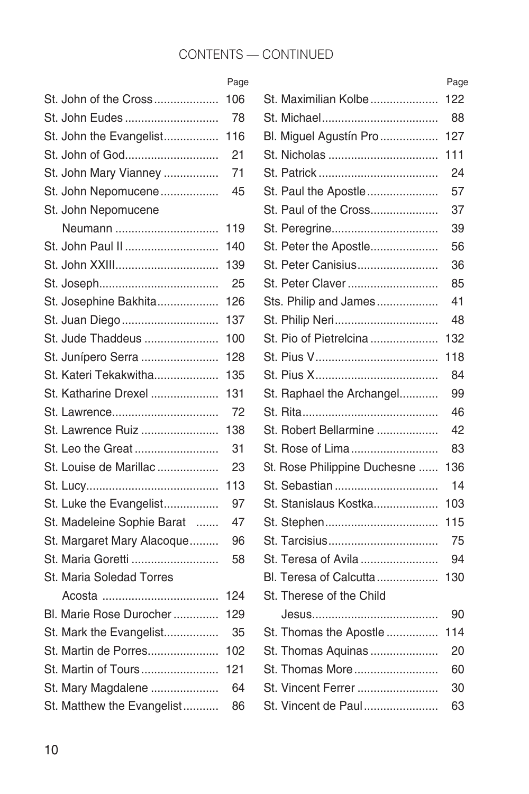## CONTENTS — CONTINUED

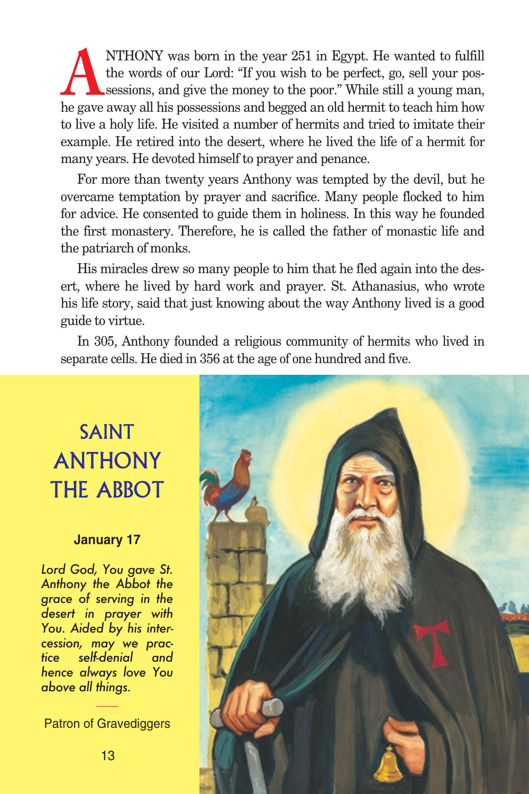ANTHONY was born in the year 251 in Egypt. He wanted to fulfill the words of our Lord: "If you wish to be perfect, go, sell your possessions, and give the money to the poor." While still a young man, he gave away all his p the words of our Lord: "If you wish to be perfect, go, sell your possessions, and give the money to the poor." While still a young man, to live a holy life. He visited a number of hermits and tried to imitate their example. He retired into the desert, where he lived the life of a hermit for many years. He devoted himself to prayer and penance.

For more than twenty years Anthony was tempted by the devil, but he overcame temptation by prayer and sacrifice. Many people flocked to him for advice. He consented to guide them in holiness. In this way he founded the first monastery. Therefore, he is called the father of monastic life and the patriarch of monks.

His miracles drew so many people to him that he fled again into the desert, where he lived by hard work and prayer. St. Athanasius, who wrote his life story, said that just knowing about the way Anthony lived is a good guide to virtue.

In 305, Anthony founded a religious community of hermits who lived in separate cells. He died in 356 at the age of one hundred and five.

# SAINT ANTHONY THE ABBOT

#### **January 17**

*Lord God, You gave St. Anthony the Abbot the grace of serving in the desert in prayer with You. Aided by his intercession, may we practice self-denial and hence always love You above all things.*

Patron of Gravediggers

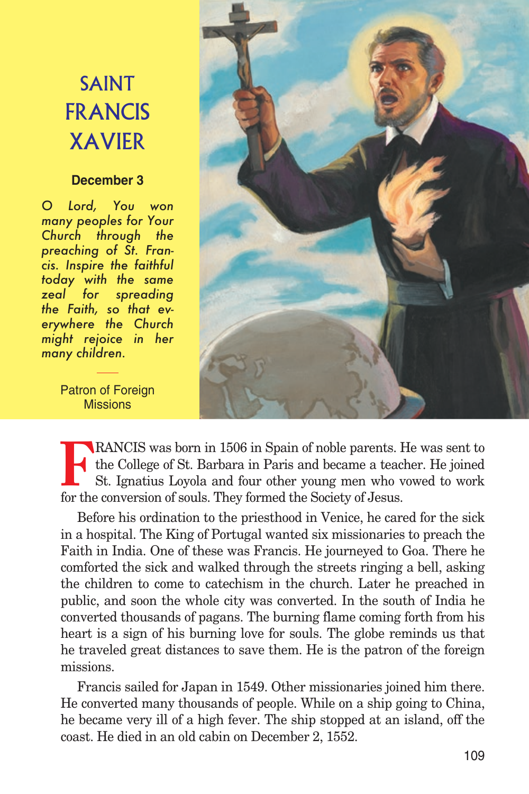# SAINT **FRANCIS** XAVIER

### **December 3**

*O Lord, You won many peoples for Your Church through the preaching of St. Francis. Inspire the faithful today with the same zeal for spreading the Faith, so that everywhere the Church might rejoice in her many children.*



Patron of Foreign **Missions** 

**FRANCIS** was born in 1506 in Spain of noble parents. He was sent to the College of St. Barbara in Paris and became a teacher. He joined St. Ignatius Loyola and four other young men who vowed to work for the conversion of the College of St. Barbara in Paris and became a teacher. He joined St. Ignatius Loyola and four other young men who vowed to work for the conversion of souls. They formed the Society of Jesus.

Before his ordination to the priesthood in Venice, he cared for the sick in a hospital. The King of Portugal wanted six missionaries to preach the Faith in India. One of these was Francis. He journeyed to Goa. There he comforted the sick and walked through the streets ringing a bell, asking the children to come to catechism in the church. Later he preached in public, and soon the whole city was converted. In the south of India he converted thousands of pagans. The burning flame coming forth from his heart is a sign of his burning love for souls. The globe reminds us that he traveled great distances to save them. He is the patron of the foreign missions.

Francis sailed for Japan in 1549. Other missionaries joined him there. He converted many thousands of people. While on a ship going to China, he became very ill of a high fever. The ship stopped at an island, off the coast. He died in an old cabin on December 2, 1552.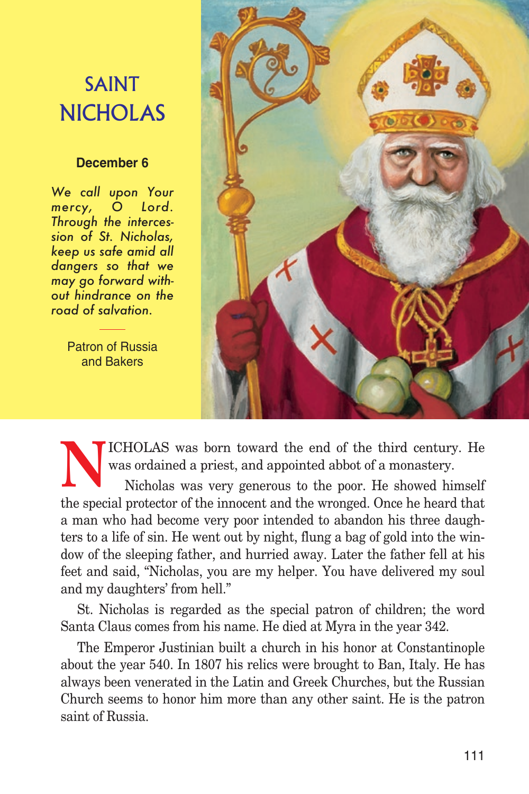## SAINT NICHOLAS

### **December 6**

*We call upon Your mercy, O Lord. Through the intercession of St. Nicholas, keep us safe amid all dangers so that we may go forward without hindrance on the road of salvation.*

> Patron of Russia and Bakers



**NICHOLAS** was born toward the end of the third century. He was ordained a priest, and appointed abbot of a monastery.<br>Nicholas was very generous to the poor. He showed himself the special protector of the innocent and the was ordained a priest, and appointed abbot of a monastery. Nicholas was very generous to the poor. He showed himself a man who had become very poor intended to abandon his three daughters to a life of sin. He went out by night, flung a bag of gold into the window of the sleeping father, and hurried away. Later the father fell at his feet and said, "Nicholas, you are my helper. You have delivered my soul and my daughters' from hell."

St. Nicholas is regarded as the special patron of children; the word Santa Claus comes from his name. He died at Myra in the year 342.

The Emperor Justinian built a church in his honor at Constantinople about the year 540. In 1807 his relics were brought to Ban, Italy. He has always been venerated in the Latin and Greek Churches, but the Russian Church seems to honor him more than any other saint. He is the patron saint of Russia.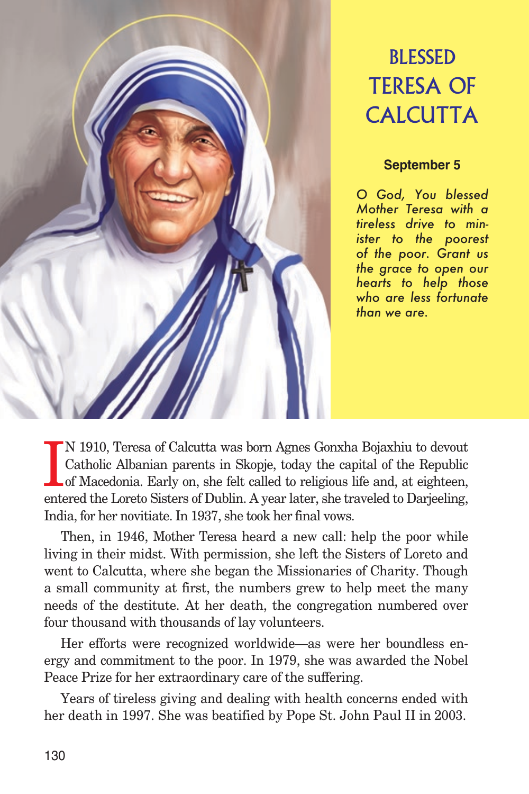

# **BLESSED** TERESA OF **CALCUTTA**

### **September 5**

*O God, You blessed Mother Teresa with a tireless drive to minister to the poorest of the poor. Grant us the grace to open our hearts to help those who are less fortunate than we are.*

N 1910, Teresa of Calcutta was born Agnes Gonxha Bojaxhiu to devout Catholic Albanian parents in Skopje, today the capital of the Republic of Macedonia. Early on, she felt called to religious life and, at eighteen, Catholic Albanian parents in Skopje, today the capital of the Republic of Macedonia. Early on, she felt called to religious life and, at eighteen, entered the Loreto Sisters of Dublin. A year later, she traveled to Darjeeling, India, for her novitiate. In 1937, she took her final vows.

Then, in 1946, Mother Teresa heard a new call: help the poor while living in their midst. With permission, she left the Sisters of Loreto and went to Calcutta, where she began the Missionaries of Charity. Though a small community at first, the numbers grew to help meet the many needs of the destitute. At her death, the congregation numbered over four thousand with thousands of lay volunteers.

Her efforts were recognized worldwide—as were her boundless energy and commitment to the poor. In 1979, she was awarded the Nobel Peace Prize for her extraordinary care of the suffering.

Years of tireless giving and dealing with health concerns ended with her death in 1997. She was beatified by Pope St. John Paul II in 2003.